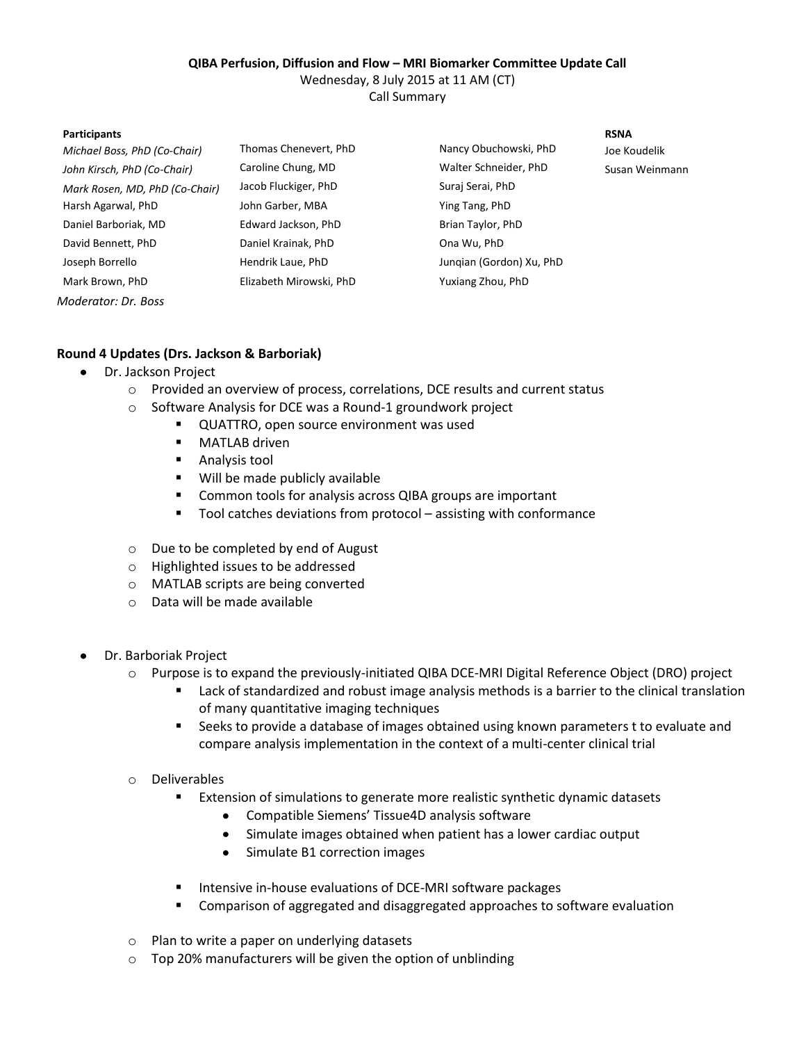## **QIBA Perfusion, Diffusion and Flow – MRI Biomarker Committee Update Call**

Wednesday, 8 July 2015 at 11 AM (CT)

Call Summary

### **Participants RSNA**

| Michael Boss, PhD (Co-Chair)   | Thomas Chenevert, PhD   |
|--------------------------------|-------------------------|
| John Kirsch, PhD (Co-Chair)    | Caroline Chung, MD      |
| Mark Rosen, MD, PhD (Co-Chair) | Jacob Fluckiger, PhD    |
| Harsh Agarwal, PhD             | John Garber, MBA        |
| Daniel Barboriak, MD           | Edward Jackson, PhD     |
| David Bennett, PhD             | Daniel Krainak, PhD     |
| Joseph Borrello                | Hendrik Laue, PhD       |
| Mark Brown, PhD                | Elizabeth Mirowski, PhD |
| Moderator: Dr. Boss            |                         |

*Michael Boss, PhD (Co-Chair)* Thomas Chenevert, PhD Nancy Obuchowski, PhD Joe Koudelik *John Kirsch, PhD (Co-Chair)* Caroline Chung, MD Walter Schneider, PhD Susan Weinmann *Mark Rosen, MD, PhD (Co-Chair)* Jacob Fluckiger, PhD Suraj Serai, PhD Ying Tang, PhD Brian Taylor, PhD Ona Wu, PhD Junqian (Gordon) Xu, PhD Yuxiang Zhou, PhD

# **Round 4 Updates (Drs. Jackson & Barboriak)**

- Dr. Jackson Project
	- o Provided an overview of process, correlations, DCE results and current status
	- o Software Analysis for DCE was a Round-1 groundwork project
		- QUATTRO, open source environment was used
			- **MATLAB driven**
			- **Analysis tool**
			- Will be made publicly available
			- Common tools for analysis across QIBA groups are important
			- Tool catches deviations from protocol assisting with conformance
	- o Due to be completed by end of August
	- o Highlighted issues to be addressed
	- o MATLAB scripts are being converted
	- o Data will be made available
- Dr. Barboriak Project
	- o Purpose is to expand the previously-initiated QIBA DCE-MRI Digital Reference Object (DRO) project
		- **Example 2** Lack of standardized and robust image analysis methods is a barrier to the clinical translation of many quantitative imaging techniques
		- Seeks to provide a database of images obtained using known parameters t to evaluate and compare analysis implementation in the context of a multi-center clinical trial
	- o Deliverables
		- Extension of simulations to generate more realistic synthetic dynamic datasets
			- $\bullet$ Compatible Siemens' Tissue4D analysis software
			- Simulate images obtained when patient has a lower cardiac output
			- $\bullet$ Simulate B1 correction images
		- Intensive in-house evaluations of DCE-MRI software packages
		- Comparison of aggregated and disaggregated approaches to software evaluation
	- o Plan to write a paper on underlying datasets
	- o Top 20% manufacturers will be given the option of unblinding